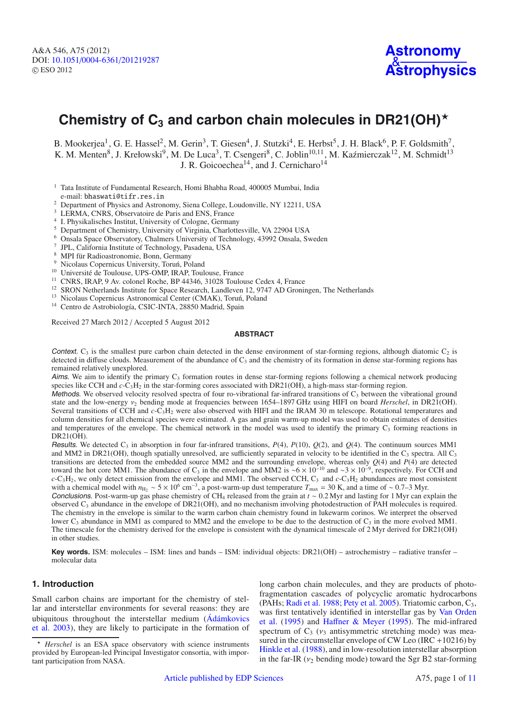# Chemistry of  $C_3$  and carbon chain molecules in DR21(OH)<sup> $\star$ </sup>

B. Mookerjea<sup>1</sup>, G. E. Hassel<sup>2</sup>, M. Gerin<sup>3</sup>, T. Giesen<sup>4</sup>, J. Stutzki<sup>4</sup>, E. Herbst<sup>5</sup>, J. H. Black<sup>6</sup>, P. F. Goldsmith<sup>7</sup>, K. M. Menten<sup>8</sup>, J. Krełowski<sup>9</sup>, M. De Luca<sup>3</sup>, T. Csengeri<sup>8</sup>, C. Joblin<sup>10,11</sup>, M. Kaźmierczak<sup>12</sup>, M. Schmidt<sup>13</sup> J. R. Goicoechea<sup>14</sup>, and J. Cernicharo<sup>14</sup>

- <sup>1</sup> Tata Institute of Fundamental Research, Homi Bhabha Road, 400005 Mumbai, India e-mail: bhaswati@tifr.res.in
- <sup>2</sup> Department of Physics and Astronomy, Siena College, Loudonville, NY 12211, USA
- <sup>3</sup> LERMA, CNRS, Observatoire de Paris and ENS, France
- <sup>4</sup> I. Physikalisches Institut, University of Cologne, Germany
- <sup>5</sup> Department of Chemistry, University of Virginia, Charlottesville, VA 22904 USA
- <sup>6</sup> Onsala Space Observatory, Chalmers University of Technology, 43992 Onsala, Sweden
- <sup>7</sup> JPL, California Institute of Technology, Pasadena, USA
- 
- 
- 
- 
- <sup>9</sup> Nicolaus Copernicus University, Toruń, Poland<br><sup>10</sup> Université de Toulouse, UPS-OMP, IRAP, Toulouse, France<br><sup>11</sup> CNRS, IRAP, 9 Av. colonel Roche, BP 44346, 31028 Toulouse Cedex 4, France<br><sup>12</sup> SRON Netherlands Institute
- 
- <sup>14</sup> Centro de Astrobiología, CSIC-INTA, 28850 Madrid, Spain

Received 27 March 2012 / Accepted 5 August 2012

#### **ABSTRACT**

Context.  $C_3$  is the smallest pure carbon chain detected in the dense environment of star-forming regions, although diatomic  $C_2$  is detected in diffuse clouds. Measurement of the abundance of  $C_3$  and the chemistry of its formation in dense star-forming regions has remained relatively unexplored.

Aims. We aim to identify the primary  $C_3$  formation routes in dense star-forming regions following a chemical network producing species like CCH and  $c$ -C<sub>3</sub>H<sub>2</sub> in the star-forming cores associated with DR21(OH), a high-mass star-forming region.

Methods. We observed velocity resolved spectra of four ro-vibrational far-infrared transitions of  $C_3$  between the vibrational ground state and the low-energy  $v_2$  bending mode at frequencies between 1654–1897 GHz using HIFI on board *Herschel*, in DR21(OH). Several transitions of CCH and *c*-C3H2 were also observed with HIFI and the IRAM 30 m telescope. Rotational temperatures and column densities for all chemical species were estimated. A gas and grain warm-up model was used to obtain estimates of densities and temperatures of the envelope. The chemical network in the model was used to identify the primary  $C_3$  forming reactions in DR21(OH).

Results. We detected  $C_3$  in absorption in four far-infrared transitions,  $P(4)$ ,  $P(10)$ ,  $Q(2)$ , and  $Q(4)$ . The continuum sources MM1 and MM2 in DR21(OH), though spatially unresolved, are sufficiently separated in velocity to be identified in the  $C_3$  spectra. All  $C_3$ transitions are detected from the embedded source MM2 and the surrounding envelope, whereas only *Q*(4) and *P*(4) are detected toward the hot core MM1. The abundance of C<sub>3</sub> in the envelope and MM2 is ~6 × 10<sup>-10</sup> and ~3 × 10<sup>-9</sup>, respectively. For CCH and  $c$ -C<sub>3</sub>H<sub>2</sub>, we only detect emission from the envelope and MM1. The observed CCH, C<sub>3</sub> and  $c$ -C<sub>3</sub>H<sub>2</sub> abundances are most consistent with a chemical model with *n*<sub>H2</sub> ∼ 5 × 10<sup>6</sup> cm<sup>−3</sup>, a post-warm-up dust temperature  $T_{\text{max}} = 30$  K, and a time of ∼ 0.7–3 Myr.

Conclusions. Post-warm-up gas phase chemistry of CH4 released from the grain at *t* ∼ 0.2 Myr and lasting for 1 Myr can explain the observed  $C_3$  abundance in the envelope of DR21(OH), and no mechanism involving photodestruction of PAH molecules is required. The chemistry in the envelope is similar to the warm carbon chain chemistry found in lukewarm corinos. We interpret the observed lower  $C_3$  abundance in MM1 as compared to MM2 and the envelope to be due to the destruction of  $C_3$  in the more evolved MM1. The timescale for the chemistry derived for the envelope is consistent with the dynamical timescale of 2 Myr derived for DR21(OH) in other studies.

**Key words.** ISM: molecules – ISM: lines and bands – ISM: individual objects: DR21(OH) – astrochemistry – radiative transfer – molecular data

## **1. Introduction**

Small carbon chains are important for the chemistry of stellar and interstellar environments for several reasons: they are ubiq[uitous throughout the interstellar medium \(](#page-9-0)Ádámkovics et al. [2003\)](#page-9-0), they are likely to participate in the formation of long carbon chain molecules, and they are products of photofragmentation cascades of polycyclic aromatic hydrocarbons (PAHs; [Radi et al. 1988;](#page-10-0) [Pety et al. 2005\)](#page-10-1). Triatomic carbon,  $C_3$ , was [first tentatively identified in interstellar gas by](#page-10-2) Van Orden et al. [\(1995](#page-10-2)) and Haff[ner & Meyer](#page-10-3) [\(1995](#page-10-3)). The mid-infrared spectrum of  $C_3$  ( $v_3$  antisymmetric stretching mode) was measured in the circumstellar envelope of CW Leo (IRC +10216) by [Hinkle et al.](#page-10-4) [\(1988](#page-10-4)), and in low-resolution interstellar absorption in the far-IR ( $v_2$  bending mode) toward the Sgr B2 star-forming

*Herschel* is an ESA space observatory with science instruments provided by European-led Principal Investigator consortia, with important participation from NASA.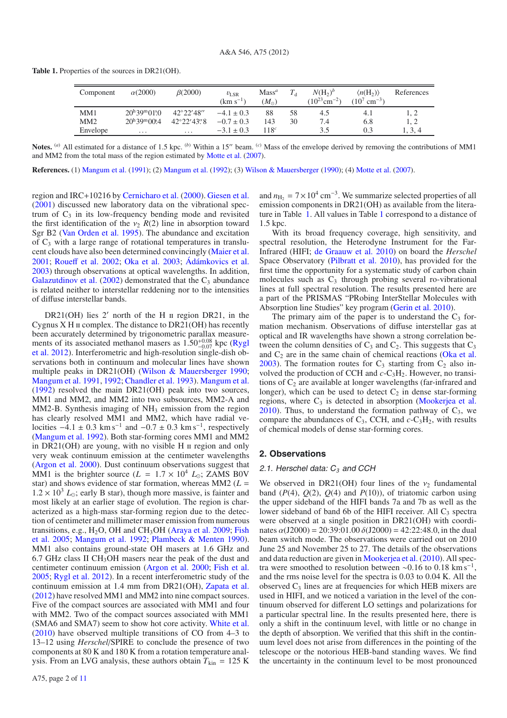| <b>Table 1.</b> Properties of the sources in DR21(OH). |  |  |
|--------------------------------------------------------|--|--|
|--------------------------------------------------------|--|--|

<span id="page-1-0"></span>

| Component | $\alpha(2000)$                    | $\beta(2000)$        | $v_{\rm LSR}$<br>$(km s^{-1})$ | Mass <sup>a</sup><br>$(M_{\odot})$ |    | $N(H_2)^b$<br>$(10^{23}$ cm <sup>-2</sup> ) | $\langle n(H_2) \rangle$<br>$(10^7 \text{ cm}^{-3})$ | References |
|-----------|-----------------------------------|----------------------|--------------------------------|------------------------------------|----|---------------------------------------------|------------------------------------------------------|------------|
| MM1       | $20^{\rm h}39^{\rm m}01^{\rm s}0$ | $42^{\circ}22'48''$  | $-4.1 \pm 0.3$                 | 88                                 | 58 | 4.5                                         | 4.1                                                  |            |
| MM2       | $20^{\rm h}39^{\rm m}00^{\rm s}4$ | $42^{\circ}22'43''8$ | $-0.7 \pm 0.3$                 | 143                                | 30 | 7.4                                         | 6.8                                                  |            |
| Envelope  | $\cdots$                          | $\cdots$             | $-3.1 \pm 0.3$                 | $118^c$                            |    | 3.5                                         | 0.3                                                  | 1, 3, 4    |

**Notes.** (a) All estimated for a distance of 1.5 kpc. (b) Within a 15" beam. (c) Mass of the envelope derived by removing the contributions of MM1 and MM2 from the total mass of the region estimated by [Motte et al.](#page-10-6) [\(2007\)](#page-10-6).

**References.** (1) [Mangum et al.](#page-10-7) [\(1991\)](#page-10-7); (2) [Mangum et al.](#page-10-8) [\(1992](#page-10-8)); (3) [Wilson & Mauersberger](#page-10-9) [\(1990](#page-10-9)); (4) [Motte et al.](#page-10-6) [\(2007](#page-10-6)).

region and IRC+10216 by [Cernicharo et al.](#page-9-1) [\(2000\)](#page-9-1). [Giesen et al.](#page-10-10) [\(2001](#page-10-10)) discussed new laboratory data on the vibrational spectrum of  $C_3$  in its low-frequency bending mode and revisited the first identification of the  $v_2 R(2)$  line in absorption toward Sgr B2 [\(Van Orden et al. 1995\)](#page-10-2). The abundance and excitation of  $C_3$  with a large range of rotational temperatures in translucent clouds have also been determined convincingly [\(Maier et al.](#page-10-11) [2001;](#page-10-11) [Roue](#page-10-12)ff et al. [2002;](#page-10-12) [Oka et al. 2003](#page-10-13); [Ádámkovics et al.](#page-9-0) [2003\)](#page-9-0) through observations at optical wavelengths. In addition, [Galazutdinov et al.](#page-9-2)  $(2002)$  demonstrated that the  $C_3$  abundance is related neither to interstellar reddening nor to the intensities of diffuse interstellar bands.

DR21(OH) lies 2' north of the H  $\scriptstyle\rm II$  region DR21, in the Cygnus  $X$  H  $\pi$  complex. The distance to DR21(OH) has recently been accurately determined by trigonometric parallax measurements of its associated methanol masers as  $1.50_{-0.07}^{+0.08}$  kpc (Rygl et al. [2012](#page-10-14)). Interferometric and high-resolution single-dish observations both in continuum and molecular lines have shown multiple peaks in DR21(OH) [\(Wilson & Mauersberger 1990;](#page-10-9) [Mangum et al. 1991](#page-10-7), [1992](#page-10-8); [Chandler et al. 1993](#page-9-3)). [Mangum et al.](#page-10-8) [\(1992](#page-10-8)) resolved the main DR21(OH) peak into two sources, MM1 and MM2, and MM2 into two subsources, MM2-A and  $MM2-B$ . Synthesis imaging of  $NH<sub>3</sub>$  emission from the region has clearly resolved MM1 and MM2, which have radial velocities  $-4.1 \pm 0.3$  km s<sup>-1</sup> and  $-0.7 \pm 0.3$  km s<sup>-1</sup>, respectively [\(Mangum et al. 1992\)](#page-10-8). Both star-forming cores MM1 and MM2 in  $DR21(OH)$  are young, with no visible H  $\pi$  region and only very weak continuum emission at the centimeter wavelengths [\(Argon et al. 2000\)](#page-9-4). Dust continuum observations suggest that MM1 is the brighter source ( $L = 1.7 \times 10^4$   $L_{\odot}$ ; ZAMS B0V star) and shows evidence of star formation, whereas  $M\dot{M}$  ( $L =$  $1.2 \times 10^3$  *L*<sub>o</sub>; early B star), though more massive, is fainter and most likely at an earlier stage of evolution. The region is characterized as a high-mass star-forming region due to the detection of centimeter and millimeter maser emission from numerous transitions, e.g.,  $H_2O$ , OH and CH<sub>3</sub>OH [\(Araya et al. 2009](#page-9-5)[;](#page-9-6) Fish et al. [2005;](#page-9-6) [Mangum et al. 1992](#page-10-8); [Plambeck & Menten 1990\)](#page-10-15). MM1 also contains ground-state OH masers at 1.6 GHz and 6.7 GHz class II CH3OH masers near the peak of the dust and centimeter continuum emission [\(Argon et al. 2000](#page-9-4); [Fish et al.](#page-9-6) [2005;](#page-9-6) [Rygl et al. 2012](#page-10-14)). In a recent interferometric study of the continuum emission at 1.4 mm from DR21(OH), [Zapata et al.](#page-10-16) [\(2012](#page-10-16)) have resolved MM1 and MM2 into nine compact sources. Five of the compact sources are associated with MM1 and four with MM2. Two of the compact sources associated with MM1 (SMA6 and SMA7) seem to show hot core activity. [White et al.](#page-10-17) [\(2010](#page-10-17)) have observed multiple transitions of CO from 4–3 to 13–12 using *Herschel*/SPIRE to conclude the presence of two components at 80 K and 180 K from a rotation temperature analysis. From an LVG analysis, these authors obtain  $T_{kin} = 125$  K and  $n_{\text{H}_2} = 7 \times 10^4 \text{ cm}^{-3}$ . We summarize selected properties of all emission components in DR21(OH) as available from the literature in Table [1.](#page-1-0) All values in Table [1](#page-1-0) correspond to a distance of 1.5 kpc.

With its broad frequency coverage, high sensitivity, and spectral resolution, the Heterodyne Instrument for the Far-Infrared (HIFI; [de Graauw et al. 2010](#page-9-7)) on board the *Herschel* Space Observatory [\(Pilbratt et al. 2010](#page-10-18)), has provided for the first time the opportunity for a systematic study of carbon chain molecules such as  $C_3$  through probing several ro-vibrational lines at full spectral resolution. The results presented here are a part of the PRISMAS "PRobing InterStellar Molecules with Absorption line Studies" key program [\(Gerin et al. 2010\)](#page-10-19).

The primary aim of the paper is to understand the  $C_3$  formation mechanism. Observations of diffuse interstellar gas at optical and IR wavelengths have shown a strong correlation between the column densities of  $C_3$  and  $C_2$ . This suggests that  $C_3$ and  $C_2$  are in the same chain of chemical reactions [\(Oka et al.](#page-10-13) [2003\)](#page-10-13). The formation routes for  $C_3$  starting from  $C_2$  also involved the production of CCH and *c*-C3H2. However, no transitions of  $C_2$  are available at longer wavelengths (far-infrared and longer), which can be used to detect  $C_2$  in dense star-forming regions, where  $C_3$  is detected in absorption [\(Mookerjea et al.](#page-10-20)  $2010$ ). Thus, to understand the formation pathway of  $C_3$ , we compare the abundances of  $C_3$ , CCH, and  $c$ -C<sub>3</sub>H<sub>2</sub>, with results of chemical models of dense star-forming cores.

## **2. Observations**

#### 2.1. Herschel data: C*<sup>3</sup>* and CCH

We observed in DR21(OH) four lines of the  $\nu_2$  fundamental band  $(P(4), Q(2), Q(4)$  and  $P(10)$ , of triatomic carbon using the upper sideband of the HIFI bands 7a and 7b as well as the lower sideband of band 6b of the HIFI receiver. All  $C_3$  spectra were observed at a single position in DR21(OH) with coordinates  $\alpha$ (J2000) = 20:39:01.00  $\delta$ (J2000) = 42:22:48.0, in the dual beam switch mode. The observations were carried out on 2010 June 25 and November 25 to 27. The details of the observations and data reduction are given in [Mookerjea et al.](#page-10-20) [\(2010](#page-10-20)). All spectra were smoothed to resolution between ~0.16 to 0.18 km s<sup>-1</sup>, and the rms noise level for the spectra is 0.03 to 0.04 K. All the observed  $C_3$  lines are at frequencies for which HEB mixers are used in HIFI, and we noticed a variation in the level of the continuum observed for different LO settings and polarizations for a particular spectral line. In the results presented here, there is only a shift in the continuum level, with little or no change in the depth of absorption. We verified that this shift in the continuum level does not arise from differences in the pointing of the telescope or the notorious HEB-band standing waves. We find the uncertainty in the continuum level to be most pronounced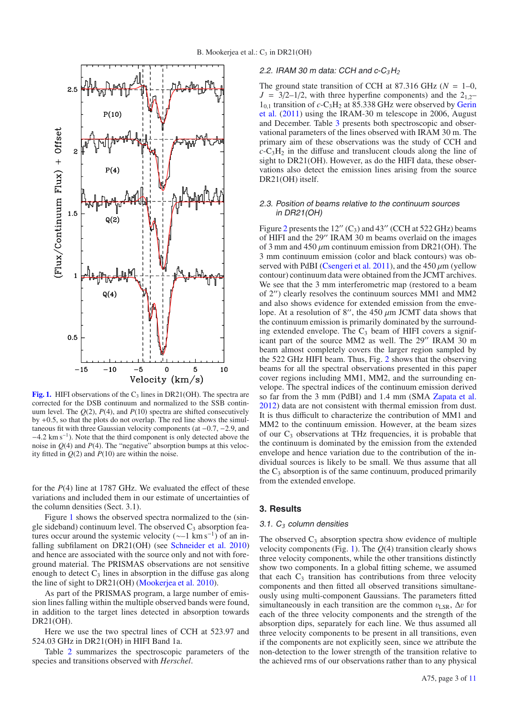

<span id="page-2-0"></span>**[Fig. 1.](http://dexter.edpsciences.org/applet.php?DOI=10.1051/0004-6361/201219287&pdf_id=1)** HIFI observations of the  $C_3$  lines in DR21(OH). The spectra are corrected for the DSB continuum and normalized to the SSB continuum level. The  $Q(2)$ ,  $P(4)$ , and  $P(10)$  spectra are shifted consecutively by +0.5, so that the plots do not overlap. The red line shows the simultaneous fit with three Gaussian velocity components (at −0.7, −2.9, and −4.2 km s−1). Note that the third component is only detected above the noise in  $Q(4)$  and  $P(4)$ . The "negative" absorption bumps at this velocity fitted in  $Q(2)$  and  $P(10)$  are within the noise.

for the *P*(4) line at 1787 GHz. We evaluated the effect of these variations and included them in our estimate of uncertainties of the column densities (Sect. 3.1).

Figure [1](#page-2-0) shows the observed spectra normalized to the (single sideband) continuum level. The observed  $C_3$  absorption features occur around the systemic velocity ( $\sim$ –1 km s<sup>-1</sup>) of an infalling subfilament on DR21(OH) (see [Schneider et al. 2010](#page-10-21)) and hence are associated with the source only and not with foreground material. The PRISMAS observations are not sensitive enough to detect  $C_3$  lines in absorption in the diffuse gas along the line of sight to DR21(OH) [\(Mookerjea et al. 2010\)](#page-10-20).

As part of the PRISMAS program, a large number of emission lines falling within the multiple observed bands were found, in addition to the target lines detected in absorption towards DR21(OH).

Here we use the two spectral lines of CCH at 523.97 and 524.03 GHz in DR21(OH) in HIFI Band 1a.

Table [2](#page-3-0) summarizes the spectroscopic parameters of the species and transitions observed with *Herschel*.

## 2.2. IRAM <sup>30</sup> <sup>m</sup> data: CCH and c-C*3*H*<sup>2</sup>*

The ground state transition of CCH at 87.316 GHz ( $N = 1-0$ ,  $J = 3/2 - 1/2$ , with three hyperfine components) and the  $2_{1,2}$  $1_{0,1}$  transition of  $c$ -C<sub>3</sub>H<sub>2</sub> [at 85.338 GHz were observed by](#page-10-22) Gerin et al. [\(2011\)](#page-10-22) using the IRAM-30 m telescope in 2006, August and December. Table [3](#page-3-1) presents both spectroscopic and observational parameters of the lines observed with IRAM 30 m. The primary aim of these observations was the study of CCH and  $c$ -C<sub>3</sub>H<sub>2</sub> in the diffuse and translucent clouds along the line of sight to DR21(OH). However, as do the HIFI data, these observations also detect the emission lines arising from the source DR21(OH) itself.

## 2.3. Position of beams relative to the continuum sources in DR21(OH)

Figure [2](#page-3-2) presents the  $12''$  (C<sub>3</sub>) and  $43''$  (CCH at 522 GHz) beams of HIFI and the 29" IRAM 30 m beams overlaid on the images of 3 mm and 450  $\mu$ m continuum emission from DR21(OH). The 3 mm continuum emission (color and black contours) was ob-served with PdBI [\(Csengeri et al. 2011\)](#page-9-8), and the  $450 \mu m$  (yellow contour) continuum data were obtained from the JCMT archives. We see that the 3 mm interferometric map (restored to a beam of 2") clearly resolves the continuum sources MM1 and MM2 and also shows evidence for extended emission from the envelope. At a resolution of 8", the 450  $\mu$ m JCMT data shows that the continuum emission is primarily dominated by the surrounding extended envelope. The  $C_3$  beam of HIFI covers a significant part of the source MM2 as well. The 29" IRAM 30 m beam almost completely covers the larger region sampled by the 522 GHz HIFI beam. Thus, Fig. [2](#page-3-2) shows that the observing beams for all the spectral observations presented in this paper cover regions including MM1, MM2, and the surrounding envelope. The spectral indices of the continuum emission derived so far from the 3 mm (PdBI) and 1.4 mm (SMA [Zapata et al.](#page-10-16) [2012\)](#page-10-16) data are not consistent with thermal emission from dust. It is thus difficult to characterize the contribution of MM1 and MM2 to the continuum emission. However, at the beam sizes of our  $C_3$  observations at THz frequencies, it is probable that the continuum is dominated by the emission from the extended envelope and hence variation due to the contribution of the individual sources is likely to be small. We thus assume that all the  $C_3$  absorption is of the same continuum, produced primarily from the extended envelope.

## **3. Results**

## 3.1. C*<sup>3</sup>* column densities

The observed  $C_3$  absorption spectra show evidence of multiple velocity components (Fig. [1\)](#page-2-0). The *Q*(4) transition clearly shows three velocity components, while the other transitions distinctly show two components. In a global fitting scheme, we assumed that each  $C_3$  transition has contributions from three velocity components and then fitted all observed transitions simultaneously using multi-component Gaussians. The parameters fitted simultaneously in each transition are the common  $v_{LSR}$ ,  $\Delta v$  for each of the three velocity components and the strength of the absorption dips, separately for each line. We thus assumed all three velocity components to be present in all transitions, even if the components are not explicitly seen, since we attribute the non-detection to the lower strength of the transition relative to the achieved rms of our observations rather than to any physical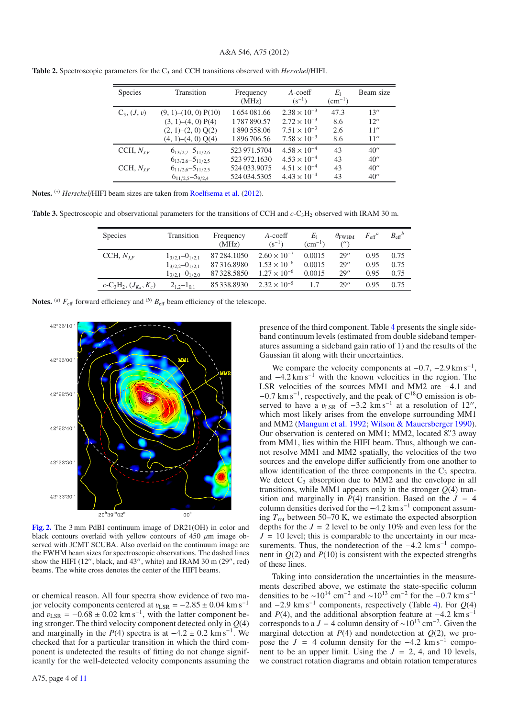## A&A 546, A75 (2012)

| <b>Species</b> | Transition                    | Frequency<br>(MHz) | $A$ -coeff<br>$(s^{-1})$ | $E_1$<br>$(cm^{-1})$ | Beam size |
|----------------|-------------------------------|--------------------|--------------------------|----------------------|-----------|
| $C_3, (J, v)$  | $(9, 1)$ – $(10, 0)$ P $(10)$ | 1654081.66         | $2.38 \times 10^{-3}$    | 47.3                 | 13''      |
|                | (3, 1)–(4, 0) P(4)            | 1787890.57         | $2.72 \times 10^{-3}$    | 8.6                  | 12''      |
|                | $(2, 1)$ - $(2, 0)$ Q $(2)$   | 1890558.06         | $7.51 \times 10^{-3}$    | 2.6                  | 11''      |
|                | $(4, 1)$ – $(4, 0)$ Q $(4)$   | 1896706.56         | $7.58 \times 10^{-3}$    | 8.6                  | 11''      |
| CCH, $N_{LF}$  | $6_{13/2,7} - 5_{11/2,6}$     | 523 971.5704       | $4.58 \times 10^{-4}$    | 43                   | 40''      |
|                | $6_{13/2,6} - 5_{11/2,5}$     | 523 972.1630       | $4.53 \times 10^{-4}$    | 43                   | 40''      |
| CCH, $N_{IF}$  | $6_{11/2,6} - 5_{11/2,5}$     | 524 033,9075       | $4.51 \times 10^{-4}$    | 43                   | 40''      |
|                | $6_{11/2,5} - 5_{9/2,4}$      | 524 034.5305       | $4.43 \times 10^{-4}$    | 43                   | 40''      |

<span id="page-3-0"></span>**Table 2.** Spectroscopic parameters for the C<sub>3</sub> and CCH transitions observed with *Herschel*/HIFI.

| Notes. (*) Herschel/HIFI beam sizes are taken from Roelfsema et al. (2012). |  |
|-----------------------------------------------------------------------------|--|
|-----------------------------------------------------------------------------|--|

<span id="page-3-1"></span>**Table 3.** Spectroscopic and observational parameters for the transitions of CCH and *c*-C<sub>3</sub>H<sub>2</sub> observed with IRAM 30 m.

| <b>Species</b>                    | Transition              | Frequency<br>(MHz) | $A$ -coeff<br>$(s^{-1})$ | Łι<br>$\rm (cm^{-1})$ | $\theta_{FWHM}$ | $F_{\text{eff}}{}^a$ | $B_{\text{eff}}^{\phantom{\text{f}}b}$ |
|-----------------------------------|-------------------------|--------------------|--------------------------|-----------------------|-----------------|----------------------|----------------------------------------|
| CCH, $N_{IF}$                     | $1_{3/2,1} - 0_{1/2,1}$ | 87 284, 1050       | $2.60 \times 10^{-7}$    | 0.0015                | 29''            | 0.95                 | 0.75                                   |
|                                   | $1_{3/2,2} - 0_{1/2,1}$ | 87316.8980         | $1.53 \times 10^{-6}$    | 0.0015                | 29''            | 0.95                 | 0.75                                   |
|                                   | $1_{3/2,1} - 0_{1/2,0}$ | 87328.5850         | $1.27 \times 10^{-6}$    | 0.0015                | 29''            | 0.95                 | 0.75                                   |
| $c\text{-}C_3H_2, (J_{K_a}, K_c)$ | $2_{1,2}-1_{0,1}$       | 85 338,8930        | $2.32 \times 10^{-5}$    | 17                    | 29''            | 0.95                 | 0.75                                   |

**Notes.** (*a*)  $F_{\text{eff}}$  forward efficiency and (*b*)  $B_{\text{eff}}$  beam efficiency of the telescope.



<span id="page-3-2"></span>**[Fig. 2.](http://dexter.edpsciences.org/applet.php?DOI=10.1051/0004-6361/201219287&pdf_id=2)** The 3 mm PdBI continuum image of DR21(OH) in color and black contours overlaid with yellow contours of 450  $\mu$ m image observed with JCMT SCUBA. Also overlaid on the continuum image are the FWHM beam sizes for spectroscopic observations. The dashed lines show the HIFI (12", black, and 43", white) and IRAM 30 m (29", red) beams. The white cross denotes the center of the HIFI beams.

or chemical reason. All four spectra show evidence of two major velocity components centered at  $v_{\text{LSR}} = -2.85 \pm 0.04 \text{ km s}^{-1}$ and  $v_{LSR} = -0.68 \pm 0.02$  km s<sup>-1</sup>, with the latter component being stronger. The third velocity component detected only in *Q*(4) and marginally in the  $P(4)$  spectra is at  $-4.2 \pm 0.2$  km s<sup>-1</sup>. We checked that for a particular transition in which the third component is undetected the results of fitting do not change significantly for the well-detected velocity components assuming the presence of the third component. Table [4](#page-4-0) presents the single sideband continuum levels (estimated from double sideband temperatures assuming a sideband gain ratio of 1) and the results of the Gaussian fit along with their uncertainties.

We compare the velocity components at  $-0.7$ ,  $-2.9 \text{ km s}^{-1}$ , and  $-4.2 \text{ km s}^{-1}$  with the known velocities in the region. The LSR velocities of the sources MM1 and MM2 are −4.1 and −0.7 km s−1, respectively, and the peak of C18O emission is observed to have a  $v_{LSR}$  of  $-3.2 \text{ km s}^{-1}$  at a resolution of 12", which most likely arises from the envelope surrounding MM1 and MM2 [\(Mangum et al. 1992;](#page-10-8) [Wilson & Mauersberger 1990\)](#page-10-9). Our observation is centered on MM1; MM2, located 8".3 away from MM1, lies within the HIFI beam. Thus, although we cannot resolve MM1 and MM2 spatially, the velocities of the two sources and the envelope differ sufficiently from one another to allow identification of the three components in the  $C_3$  spectra. We detect  $C_3$  absorption due to MM2 and the envelope in all transitions, while MM1 appears only in the stronger  $Q(4)$  transition and marginally in  $\overline{P(4)}$  transition. Based on the  $J = 4$ column densities derived for the −4.2 km s−<sup>1</sup> component assuming  $T_{\text{rot}}$  between 50–70 K, we estimate the expected absorption depths for the  $J = 2$  level to be only 10% and even less for the  $J = 10$  level; this is comparable to the uncertainty in our measurements. Thus, the nondetection of the  $-4.2 \text{ km s}^{-1}$  component in *Q*(2) and *P*(10) is consistent with the expected strengths of these lines.

Taking into consideration the uncertainties in the measurements described above, we estimate the state-specific column densities to be  $\sim 10^{14}$  cm<sup>-2</sup> and  $\sim 10^{13}$  cm<sup>-2</sup> for the -0.7 km s<sup>-1</sup> and  $-2.9 \text{ km s}^{-1}$  components, respectively (Table [4\)](#page-4-0). For  $Q(4)$ and  $P(4)$ , and the additional absorption feature at  $-4.2 \text{ km s}^{-1}$ corresponds to a *J* = 4 column density of ~10<sup>13</sup> cm<sup>-2</sup>. Given the marginal detection at  $P(4)$  and nondetection at  $Q(2)$ , we propose the  $J = 4$  column density for the  $-4.2$  km s<sup>-1</sup> component to be an upper limit. Using the  $J = 2, 4$ , and 10 levels, we construct rotation diagrams and obtain rotation temperatures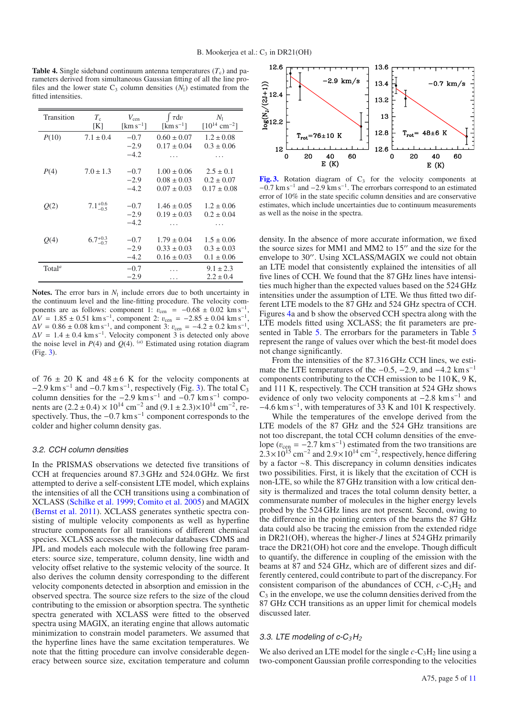<span id="page-4-0"></span>**Table 4.** Single sideband continuum antenna temperatures  $(T_c)$  and parameters derived from simultaneous Gaussian fitting of all the line profiles and the lower state  $C_3$  column densities  $(N_1)$  estimated from the fitted intensities.

| Transition         | $T_{\rm c}$         | $V_{\rm cen}$                  | $\int \tau dv$                              | $N_{1}$                       |
|--------------------|---------------------|--------------------------------|---------------------------------------------|-------------------------------|
|                    | [K]                 | $\mathrm{km}\,\mathrm{s}^{-1}$ | $\left[\mathrm{km}\,\mathrm{s}^{-1}\right]$ | $[10^{14}$ cm <sup>-2</sup> ] |
| P(10)              | $7.1 \pm 0.4$       | $-0.7$                         | $0.60 \pm 0.07$                             | $1.2 \pm 0.08$                |
|                    |                     | $-2.9$                         | $0.17 \pm 0.04$                             | $0.3 \pm 0.06$                |
|                    |                     | $-4.2$                         |                                             |                               |
| P(4)               | $7.0 \pm 1.3$       | $-0.7$                         | $1.00 \pm 0.06$                             | $2.5 \pm 0.1$                 |
|                    |                     | $-2.9$                         | $0.08 \pm 0.03$                             | $0.2 \pm 0.07$                |
|                    |                     | $-4.2$                         | $0.07 \pm 0.03$                             | $0.17 \pm 0.08$               |
| O(2)               | $7.1^{+0.6}_{-0.5}$ | $-0.7$                         | $1.46 \pm 0.05$                             | $1.2 \pm 0.06$                |
|                    |                     | $-2.9$                         | $0.19 \pm 0.03$                             | $0.2 \pm 0.04$                |
|                    |                     | $-4.2$                         |                                             |                               |
| O(4)               | $6.7^{+0.3}_{-0.7}$ | $-0.7$                         | $1.79 \pm 0.04$                             | $1.5 \pm 0.06$                |
|                    |                     | $-2.9$                         | $0.33 \pm 0.03$                             | $0.3 \pm 0.03$                |
|                    |                     | $-4.2$                         | $0.16 \pm 0.03$                             | $0.1 \pm 0.06$                |
| Total <sup>a</sup> |                     | $-0.7$                         |                                             | $9.1 \pm 2.3$                 |
|                    |                     | $-2.9$                         | .                                           | $2.2 \pm 0.4$                 |

**Notes.** The error bars in  $N_1$  include errors due to both uncertainty in the continuum level and the line-fitting procedure. The velocity components are as follows: component 1:  $v_{\text{cen}} = -0.68 \pm 0.02 \text{ km s}^{-1}$ ,  $\Delta V = 1.85 \pm 0.51$  km s<sup>-1</sup>, component 2:  $v_{\text{cen}} = -2.85 \pm 0.04$  km s<sup>-1</sup>,  $\Delta V = 0.86 \pm 0.08$  km s<sup>-1</sup>, and component 3:  $v_{\text{cen}} = -4.2 \pm 0.2$  km s<sup>-1</sup>,  $\Delta V = 1.4 \pm 0.4$  km s<sup>-1</sup>. Velocity component 3 is detected only above the noise level in *P*(4) and *Q*(4). <sup>(*a*)</sup> Estimated using rotation diagram (Fig. [3\)](#page-4-1).

of 76  $\pm$  20 K and 48 $\pm$ 6 K for the velocity components at −2.9 km s<sup>-1</sup> and −0.7 km s<sup>-1</sup>, respectively (Fig. [3\)](#page-4-1). The total C<sub>3</sub> column densities for the  $-2.9 \text{ km s}^{-1}$  and  $-0.7 \text{ km s}^{-1}$  components are  $(2.2 \pm 0.4) \times 10^{14}$  cm<sup>-2</sup> and  $(9.1 \pm 2.3) \times 10^{14}$  cm<sup>-2</sup>, respectively. Thus, the  $-0.7 \text{ km s}^{-1}$  component corresponds to the colder and higher column density gas.

#### 3.2. CCH column densities

In the PRISMAS observations we detected five transitions of CCH at frequencies around 87.3 GHz and 524.0 GHz. We first attempted to derive a self-consistent LTE model, which explains the intensities of all the CCH transitions using a combination of XCLASS [\(Schilke et al. 1999](#page-10-24); [Comito et al. 2005](#page-9-9)) and MAGIX [\(Bernst et al. 2011\)](#page-9-10). XCLASS generates synthetic spectra consisting of multiple velocity components as well as hyperfine structure components for all transitions of different chemical species. XCLASS accesses the molecular databases CDMS and JPL and models each molecule with the following free parameters: source size, temperature, column density, line width and velocity offset relative to the systemic velocity of the source. It also derives the column density corresponding to the different velocity components detected in absorption and emission in the observed spectra. The source size refers to the size of the cloud contributing to the emission or absorption spectra. The synthetic spectra generated with XCLASS were fitted to the observed spectra using MAGIX, an iterating engine that allows automatic minimization to constrain model parameters. We assumed that the hyperfine lines have the same excitation temperatures. We note that the fitting procedure can involve considerable degeneracy between source size, excitation temperature and column



<span id="page-4-1"></span>**[Fig. 3.](http://dexter.edpsciences.org/applet.php?DOI=10.1051/0004-6361/201219287&pdf_id=3)** Rotation diagram of  $C_3$  for the velocity components at −0.7 km s−<sup>1</sup> and −2.9 km s−1. The errorbars correspond to an estimated error of 10% in the state specific column densities and are conservative estimates, which include uncertainties due to continuum measurements as well as the noise in the spectra.

density. In the absence of more accurate information, we fixed the source sizes for MM1 and MM2 to  $15$ " and the size for the envelope to 30". Using XCLASS/MAGIX we could not obtain an LTE model that consistently explained the intensities of all five lines of CCH. We found that the 87 GHz lines have intensities much higher than the expected values based on the 524 GHz intensities under the assumption of LTE. We thus fitted two different LTE models to the 87 GHz and 524 GHz spectra of CCH. Figures [4a](#page-5-0) and b show the observed CCH spectra along with the LTE models fitted using XCLASS; the fit parameters are pre-sented in Table [5.](#page-5-1) The errorbars for the parameters in Table [5](#page-5-1) represent the range of values over which the best-fit model does not change significantly.

From the intensities of the 87.316 GHz CCH lines, we estimate the LTE temperatures of the  $-0.5$ ,  $-2.9$ , and  $-4.2 \text{ km s}^{-1}$ components contributing to the CCH emission to be 110 K, 9 K, and 111 K, respectively. The CCH transition at 524 GHz shows evidence of only two velocity components at  $-2.8 \text{ km s}^{-1}$  and  $-4.6$  km s<sup>-1</sup>, with temperatures of 33 K and 101 K respectively.

While the temperatures of the envelope derived from the LTE models of the 87 GHz and the 524 GHz transitions are not too discrepant, the total CCH column densities of the envelope ( $v_{\text{cen}} = -2.7 \text{ km s}^{-1}$ ) estimated from the two transitions are  $2.3\times10^{15}$  cm<sup>-2</sup> and  $2.9\times10^{14}$  cm<sup>-2</sup>, respectively, hence differing by a factor ∼8. This discrepancy in column densities indicates two possibilities. First, it is likely that the excitation of CCH is non-LTE, so while the 87 GHz transition with a low critical density is thermalized and traces the total column density better, a commensurate number of molecules in the higher energy levels probed by the 524 GHz lines are not present. Second, owing to the difference in the pointing centers of the beams the 87 GHz data could also be tracing the emission from the extended ridge in DR21(OH), whereas the higher-*J* lines at 524 GHz primarily trace the DR21(OH) hot core and the envelope. Though difficult to quantify, the difference in coupling of the emission with the beams at 87 and 524 GHz, which are of different sizes and differently centered, could contribute to part of the discrepancy. For consistent comparison of the abundances of CCH, *c*-C<sub>3</sub>H<sub>2</sub> and  $C_3$  in the envelope, we use the column densities derived from the 87 GHz CCH transitions as an upper limit for chemical models discussed later.

#### 3.3. LTE modeling of c-C*3*H*<sup>2</sup>*

We also derived an LTE model for the single  $c$ -C<sub>3</sub>H<sub>2</sub> line using a two-component Gaussian profile corresponding to the velocities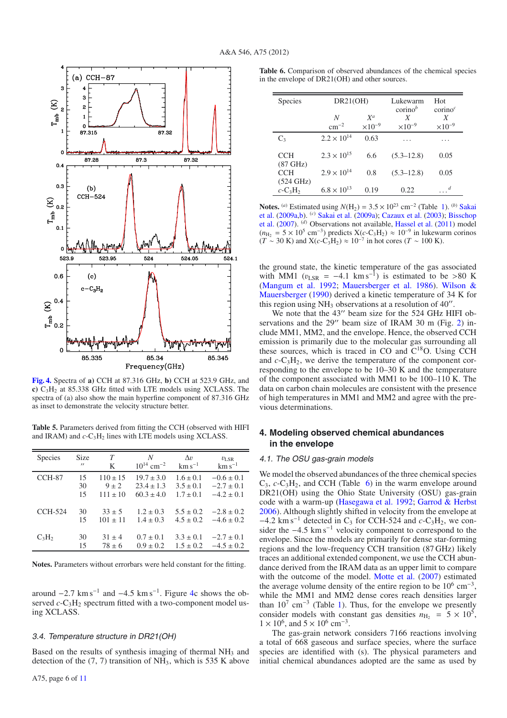

<span id="page-5-0"></span>**[Fig. 4.](http://dexter.edpsciences.org/applet.php?DOI=10.1051/0004-6361/201219287&pdf_id=4)** Spectra of **a)** CCH at 87.316 GHz, **b)** CCH at 523.9 GHz, and **c)** C3H2 at 85.338 GHz fitted with LTE models using XCLASS. The spectra of (a) also show the main hyperfine component of 87.316 GHz as inset to demonstrate the velocity structure better.

<span id="page-5-1"></span>**Table 5.** Parameters derived from fitting the CCH (observed with HIFI and IRAM) and  $c$ -C<sub>3</sub>H<sub>2</sub> lines with LTE models using XCLASS.

| <b>Species</b> | <b>Size</b>       | T            | N                          | $\Delta v$    | $v_{LSR}$        |
|----------------|-------------------|--------------|----------------------------|---------------|------------------|
|                | $^{\prime\prime}$ | K            | $10^{14}$ cm <sup>-2</sup> | $km s^{-1}$   | $\rm km\,s^{-1}$ |
| CCH-87         | 15                | $110 \pm 15$ | $19.7 \pm 3.0$             | $1.6 \pm 0.1$ | $-0.6 \pm 0.1$   |
|                | 30                | $9 + 2$      | $23.4 + 1.3$               | $3.5 \pm 0.1$ | $-2.7 \pm 0.1$   |
|                | 15                | $111 \pm 10$ | $60.3 \pm 4.0$             | $1.7 \pm 0.1$ | $-4.2 \pm 0.1$   |
| CCH-524        | 30                | $33 + 5$     | $1.2 \pm 0.3$              | $5.5 \pm 0.2$ | $-2.8 \pm 0.2$   |
|                | 15                | $101 \pm 11$ | $1.4 \pm 0.3$              | $4.5 + 0.2$   | $-4.6 \pm 0.2$   |
| $C_3H_2$       | 30                | $31 \pm 4$   | $0.7 \pm 0.1$              | $3.3 \pm 0.1$ | $-2.7 \pm 0.1$   |
|                | 15                | $78 \pm 6$   | $0.9 \pm 0.2$              | $1.5 \pm 0.2$ | $-4.5 \pm 0.2$   |

**Notes.** Parameters without errorbars were held constant for the fitting.

around  $-2.7 \text{ km s}^{-1}$  and  $-4.5 \text{ km s}^{-1}$ . Figure [4c](#page-5-0) shows the observed  $c$ -C<sub>3</sub>H<sub>2</sub> spectrum fitted with a two-component model using XCLASS.

#### 3.4. Temperature structure in DR21(OH)

Based on the results of synthesis imaging of thermal NH<sub>3</sub> and detection of the  $(7, 7)$  transition of NH<sub>3</sub>, which is 535 K above

**Table 6.** Comparison of observed abundances of the chemical species in the envelope of DR21(OH) and other sources.

<span id="page-5-2"></span>

| <b>Species</b>                                            | DR21(OH)             |                  | Lukewarm<br>$\text{corino}^b$ | Hot<br>$\text{corino}^c$ |
|-----------------------------------------------------------|----------------------|------------------|-------------------------------|--------------------------|
|                                                           | N                    | $X^a$            | X                             | X                        |
|                                                           | $\rm cm^{-2}$        | $\times 10^{-9}$ | $\times 10^{-9}$              | $\times 10^{-9}$         |
| $C_3$                                                     | $2.2 \times 10^{14}$ | 0.63             | .                             |                          |
| <b>CCH</b><br>$(87 \text{ GHz})$                          | $2.3 \times 10^{15}$ | 6.6              | $(5.3 - 12.8)$                | 0.05                     |
| <b>CCH</b>                                                | $2.9 \times 10^{14}$ | 0.8              | $(5.3 - 12.8)$                | 0.05                     |
| $(524 \text{ GHz})$<br>$c$ -C <sub>3</sub> H <sub>2</sub> | $6.8 \times 10^{13}$ | 0.19             | 0.22.                         | d                        |

**Notes.** (*a*) [Estimated using](#page-10-25)  $N(H_2) = 3.5 \times 10^{23}$  cm<sup>-2</sup> (Table [1\)](#page-1-0). (*b*) Sakai et al. [\(2009a](#page-10-25)[,b\)](#page-10-26). (*c*) [Sakai et al.](#page-10-25) [\(2009a](#page-10-25)); [Cazaux et al.](#page-9-11) [\(2003](#page-9-11)); Bisschop et al. [\(2007](#page-9-12)). (*d*) Observations not available, [Hassel et al.](#page-10-27) [\(2011](#page-10-27)) model  $(n_{\text{H}_2} = 5 \times 10^5 \text{ cm}^{-3})$  predicts  $X(c-C_3H_2) \approx 10^{-9}$  in lukewarm corinos  $(T \sim 30 \text{ K})$  and  $X(c-C_3H_2) \approx 10^{-7}$  in hot cores  $(T \sim 100 \text{ K})$ .

the ground state, the kinetic temperature of the gas associated with MM1 ( $v_{LSR}$  = -4.1 km s<sup>-1</sup>) is estimated to be >80 K [\(Mangum et al. 1992;](#page-10-8) [Mauersberger et al. 1986](#page-10-28)[\).](#page-10-9) Wilson & Mauersberger [\(1990](#page-10-9)) derived a kinetic temperature of 34 K for this region using  $NH_3$  observations at a resolution of 40 $^{\prime\prime}$ .

We note that the  $43''$  beam size for the  $524$  GHz HIFI observations and the  $29''$  beam size of IRAM 30 m (Fig. [2\)](#page-3-2) include MM1, MM2, and the envelope. Hence, the observed CCH emission is primarily due to the molecular gas surrounding all these sources, which is traced in CO and  $C^{18}O$ . Using CCH and  $c$ -C<sub>3</sub>H<sub>2</sub>, we derive the temperature of the component corresponding to the envelope to be 10–30 K and the temperature of the component associated with MM1 to be 100–110 K. The data on carbon chain molecules are consistent with the presence of high temperatures in MM1 and MM2 and agree with the previous determinations.

# **4. Modeling observed chemical abundances in the envelope**

### 4.1. The OSU gas-grain models

We model the observed abundances of the three chemical species  $C_3$ ,  $c$ - $C_3H_2$ , and CCH (Table [6\)](#page-5-2) in the warm envelope around DR21(OH) using the Ohio State University (OSU) gas-grain code with a warm-up [\(Hasegawa et al. 1992;](#page-10-29) [Garrod & Herbst](#page-10-30) [2006\)](#page-10-30). Although slightly shifted in velocity from the envelope at  $-4.2$  km s<sup>-1</sup> detected in C<sub>3</sub> for CCH-524 and  $c$ -C<sub>3</sub>H<sub>2</sub>, we consider the  $-4.5 \text{ km s}^{-1}$  velocity component to correspond to the envelope. Since the models are primarily for dense star-forming regions and the low-frequency CCH transition (87 GHz) likely traces an additional extended component, we use the CCH abundance derived from the IRAM data as an upper limit to compare with the outcome of the model. [Motte et al.](#page-10-6) [\(2007](#page-10-6)) estimated the average volume density of the entire region to be  $10^6$  cm<sup>-3</sup>, while the MM1 and MM2 dense cores reach densities larger than  $10^7$  cm<sup>-3</sup> (Table [1\)](#page-1-0). Thus, for the envelope we presently consider models with constant gas densities  $n_{\text{H}_2} = 5 \times 10^5$ ,  $1 \times 10^6$ , and  $5 \times 10^6$  cm<sup>-3</sup>.

The gas-grain network considers 7166 reactions involving a total of 668 gaseous and surface species, where the surface species are identified with (s). The physical parameters and initial chemical abundances adopted are the same as used by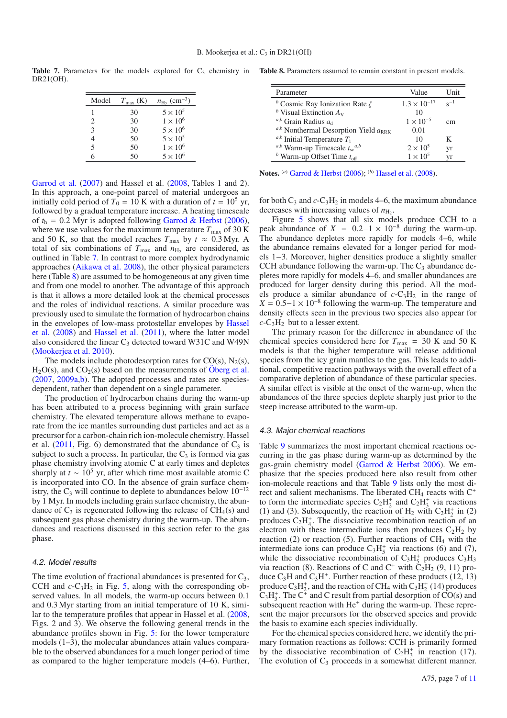Table 7. Parameters for the models explored for C<sub>3</sub> chemistry in Table 8. Parameters assumed to remain constant in present models. DR21(OH).

<span id="page-6-0"></span>

| Model | $T_{\rm max}$ (K) | $n_{\rm H_2}$ (cm <sup>-3</sup> ) |
|-------|-------------------|-----------------------------------|
|       | 30                | $5 \times 10^5$                   |
| 2     | 30                | $1 \times 10^6$                   |
| 3     | 30                | $5 \times 10^6$                   |
| 4     | 50                | $5 \times 10^5$                   |
| 5     | 50                | $1 \times 10^6$                   |
| ĥ     | 50                | $5 \times 10^6$                   |

[Garrod et al.](#page-10-31) [\(2007](#page-10-31)) and Hassel et al. [\(2008,](#page-10-32) Tables 1 and 2). In this approach, a one-point parcel of material undergoes an initially cold period of  $T_0 = 10$  K with a duration of  $t = 10^5$  yr, followed by a gradual temperature increase. A heating timescale of  $t<sub>h</sub> = 0.2$  Myr is adopted following [Garrod & Herbst](#page-10-30) [\(2006\)](#page-10-30), where we use values for the maximum temperature  $T_{\text{max}}$  of 30 K and 50 K, so that the model reaches  $T_{\text{max}}$  by  $t \approx 0.3 \text{ Myr}$ . A total of six combinations of  $T_{\text{max}}$  and  $n_{\text{H}_2}$  are considered, as outlined in Table [7.](#page-6-0) In contrast to more complex hydrodynamic approaches [\(Aikawa et al. 2008](#page-9-13)), the other physical parameters here (Table [8\)](#page-6-1) are assumed to be homogeneous at any given time and from one model to another. The advantage of this approach is that it allows a more detailed look at the chemical processes and the roles of individual reactions. A similar procedure was previously used to simulate the formation of hydrocarbon chains in th[e envelopes of low-mass protostellar envelopes by](#page-10-32) Hassel et al. [\(2008\)](#page-10-32) and [Hassel et al.](#page-10-27) [\(2011\)](#page-10-27), where the latter model also considered the linear  $C_3$  detected toward W31C and W49N [\(Mookerjea et al. 2010\)](#page-10-20).

The models include photodesorption rates for  $CO(s)$ ,  $N_2(s)$ ,  $H_2O(s)$ , and  $CO_2(s)$  based on the measurements of Oberg et al. [\(2007](#page-10-33), [2009a](#page-10-34)[,b](#page-10-35)). The adopted processes and rates are speciesdependent, rather than dependent on a single parameter.

The production of hydrocarbon chains during the warm-up has been attributed to a process beginning with grain surface chemistry. The elevated temperature allows methane to evaporate from the ice mantles surrounding dust particles and act as a precursor for a carbon-chain rich ion-molecule chemistry. Hassel et al.  $(2011, Fig. 6)$  $(2011, Fig. 6)$  demonstrated that the abundance of  $C_3$  is subject to such a process. In particular, the  $C_3$  is formed via gas phase chemistry involving atomic C at early times and depletes sharply at  $t \sim 10^5$  yr, after which time most available atomic C is incorporated into CO. In the absence of grain surface chemistry, the  $C_3$  will continue to deplete to abundances below 10<sup>-12</sup> by 1 Myr. In models including grain surface chemistry, the abundance of  $C_3$  is regenerated following the release of  $CH_4(s)$  and subsequent gas phase chemistry during the warm-up. The abundances and reactions discussed in this section refer to the gas phase.

#### 4.2. Model results

The time evolution of fractional abundances is presented for  $C_3$ , CCH and  $c$ -C<sub>3</sub>H<sub>2</sub> in Fig. [5,](#page-7-0) along with the corresponding observed values. In all models, the warm-up occurs between 0.1 and 0.3 Myr starting from an initial temperature of 10 K, similar to the temperature profiles that appear in Hassel et al. [\(2008](#page-10-32), Figs. 2 and 3). We observe the following general trends in the abundance profiles shown in Fig. [5:](#page-7-0) for the lower temperature models (1–3), the molecular abundances attain values comparable to the observed abundances for a much longer period of time as compared to the higher temperature models (4–6). Further,

<span id="page-6-1"></span>

| Parameter                                              | Value                 | I Init   |
|--------------------------------------------------------|-----------------------|----------|
| <sup>b</sup> Cosmic Ray Ionization Rate $\zeta$        | $1.3 \times 10^{-17}$ | $c^{-1}$ |
| <sup>b</sup> Visual Extinction $A_V$                   | 10                    |          |
| $a,b$ Grain Radius $a_{d}$                             | $1 \times 10^{-5}$    | cm       |
| $a,b$ Nonthermal Desorption Yield $a_{RRK}$            | 0.01                  |          |
| $a,b$ Initial Temperature $T_i$                        | 10                    | K        |
| <sup><i>a,b</i></sup> Warm-up Timescale $t_{sc}^{a,b}$ | $2 \times 10^5$       | yr       |
| <sup>b</sup> Warm-up Offset Time $t_{\text{off}}$      | $1 \times 10^5$       | vr       |

**Notes.** (*a*) [Garrod & Herbst](#page-10-30) [\(2006\)](#page-10-30); (*b*) [Hassel et al.](#page-10-32) [\(2008\)](#page-10-32).

for both  $C_3$  and  $c$ -C<sub>3</sub>H<sub>2</sub> in models 4–6, the maximum abundance decreases with increasing values of  $n_{\text{H}_2}$ .

Figure [5](#page-7-0) shows that all six models produce CCH to a peak abundance of  $X = 0.2-1 \times 10^{-8}$  during the warm-up. The abundance depletes more rapidly for models 4–6, while the abundance remains elevated for a longer period for models 1−3. Moreover, higher densities produce a slightly smaller CCH abundance following the warm-up. The  $C_3$  abundance depletes more rapidly for models 4–6, and smaller abundances are produced for larger density during this period. All the models produce a similar abundance of  $c$ -C<sub>3</sub>H<sub>2</sub> in the range of  $X = 0.5-1 \times 10^{-8}$  following the warm-up. The temperature and density effects seen in the previous two species also appear for  $c$ -C<sub>3</sub>H<sub>2</sub> but to a lesser extent.

The primary reason for the difference in abundance of the chemical species considered here for  $T_{\text{max}}$  = 30 K and 50 K models is that the higher temperature will release additional species from the icy grain mantles to the gas. This leads to additional, competitive reaction pathways with the overall effect of a comparative depletion of abundance of these particular species. A similar effect is visible at the onset of the warm-up, when the abundances of the three species deplete sharply just prior to the steep increase attributed to the warm-up.

#### 4.3. Major chemical reactions

Table [9](#page-7-1) summarizes the most important chemical reactions occurring in the gas phase during warm-up as determined by the gas-grain chemistry model [\(Garrod & Herbst 2006\)](#page-10-30). We emphasize that the species produced here also result from other ion-molecule reactions and that Table [9](#page-7-1) lists only the most direct and salient mechanisms. The liberated CH<sub>4</sub> reacts with  $C^+$ to form the intermediate species  $C_2H_2^+$  and  $C_2H_3^+$  via reactions (1) and (3). Subsequently, the reaction of  $H_2$  with  $C_2H_2^+$  in (2) produces  $C_2H_4^+$ . The dissociative recombination reaction of an electron with these intermediate ions then produces  $C_2H_2$  by reaction (2) or reaction (5). Further reactions of  $CH<sub>4</sub>$  with the intermediate ions can produce  $C_3H_5^+$  via reactions (6) and (7), while the dissociative recombination of  $C_3H_5^+$  produces  $C_3H_3$ via reaction (8). Reactions of C and C<sup>+</sup> with  $\ddot{C}_2H_2$  (9, 11) produce  $C_3H$  and  $C_3H^+$ . Further reaction of these products (12, 13) produce  $C_3H_2^+$ , and the reaction of CH<sub>4</sub> with  $C_3H_2^+$  (14) produces  $C_3H_3^+$ . The  $C^{\ddagger}$  and C result from partial desorption of CO(s) and subsequent reaction with  $He<sup>+</sup>$  during the warm-up. These represent the major precursors for the observed species and provide the basis to examine each species individually.

For the chemical species considered here, we identify the primary formation reactions as follows: CCH is primarily formed by the dissociative recombination of  $C_2H_3^+$  in reaction (17). The evolution of  $C_3$  proceeds in a somewhat different manner.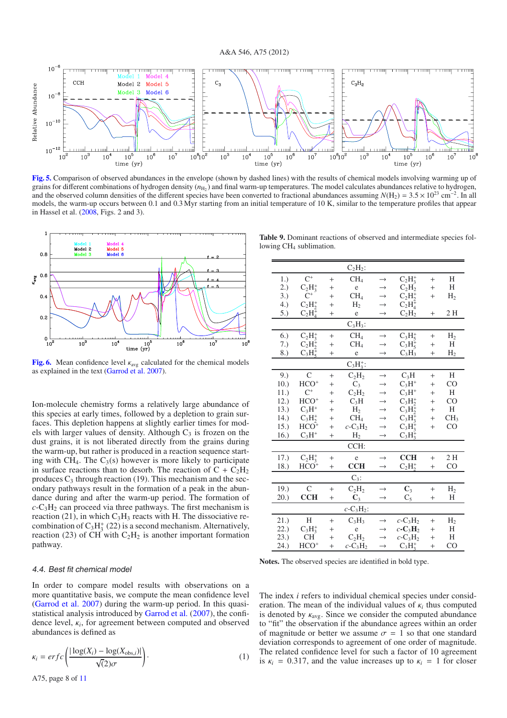

<span id="page-7-0"></span>**[Fig. 5.](http://dexter.edpsciences.org/applet.php?DOI=10.1051/0004-6361/201219287&pdf_id=5)** Comparison of observed abundances in the envelope (shown by dashed lines) with the results of chemical models involving warming up of grains for different combinations of hydrogen density ( $n_{\text{H}_2}$ ) and final warm-up temperatures. The model calculates abundances relative to hydrogen, and the observed column densities of the different species have been converted to fractional abundances assuming  $N(H_2) = 3.5 \times 10^{23}$  cm<sup>-2</sup>. In all models, the warm-up occurs between 0.1 and 0.3 Myr starting from an initial temperature of 10 K, similar to the temperature profiles that appear in Hassel et al. [\(2008,](#page-10-32) Figs. 2 and 3).



<span id="page-7-2"></span>**[Fig. 6.](http://dexter.edpsciences.org/applet.php?DOI=10.1051/0004-6361/201219287&pdf_id=6)** Mean confidence level  $\kappa_{avg}$  calculated for the chemical models as explained in the text [\(Garrod et al. 2007](#page-10-31)).

Ion-molecule chemistry forms a relatively large abundance of this species at early times, followed by a depletion to grain surfaces. This depletion happens at slightly earlier times for models with larger values of density. Although  $C_3$  is frozen on the dust grains, it is not liberated directly from the grains during the warm-up, but rather is produced in a reaction sequence starting with  $CH_4$ . The  $C_3(s)$  however is more likely to participate in surface reactions than to desorb. The reaction of  $C + C_2H_2$ produces  $C_3$  through reaction (19). This mechanism and the secondary pathways result in the formation of a peak in the abundance during and after the warm-up period. The formation of  $c$ -C<sub>3</sub>H<sub>2</sub> can proceed via three pathways. The first mechanism is reaction (21), in which  $C_3H_3$  reacts with H. The dissociative recombination of  $C_3H_3^+$  (22) is a second mechanism. Alternatively, reaction (23) of CH with  $C_2H_2$  is another important formation pathway.

# <span id="page-7-1"></span>lowing CH<sub>4</sub> sublimation.  $C_2H_2$ :

**Table 9.** Dominant reactions of observed and intermediate species fol-

|      |              |        | $C_2H_2$ :                           |                   |                                    |        |                 |
|------|--------------|--------|--------------------------------------|-------------------|------------------------------------|--------|-----------------|
| 1.)  | $C^+$        | $^{+}$ | CH <sub>4</sub>                      | $\rightarrow$     | $C_2H_2^+$                         | $^{+}$ | H               |
| 2.)  | $C_2H_3^+$   | $^{+}$ | e                                    | $\rightarrow$     | $C_2H_2$                           | $^{+}$ | H               |
| 3.)  | $C^+$        | $^{+}$ | CH <sub>4</sub>                      | $\rightarrow$     | $C_2H_2^+$                         | $^{+}$ | H <sub>2</sub>  |
| 4.)  | $C_2H_2^+$   | $^{+}$ | H <sub>2</sub>                       | $\rightarrow$     | $C_2H_4^+$                         |        |                 |
| 5.)  | $C_2H_4^+$   | $^{+}$ | e                                    | $\rightarrow$     | $C_2H_2$                           | $^{+}$ | 2H              |
|      |              |        | $C_3H_3$ :                           |                   |                                    |        |                 |
| 6.)  | $C_2H_3^+$   | $^{+}$ | CH <sub>4</sub>                      | $\rightarrow$     | $C_3H_5^+$                         | $^{+}$ | H <sub>2</sub>  |
| 7.)  | $C_2H_2^+$   | $^{+}$ | CH <sub>4</sub>                      | $\rightarrow$     | $C_3H_5^+$                         | $^{+}$ | H               |
| 8.)  | $C_3H_5^+$   | $^{+}$ | e                                    | $\rightarrow$     | $C_3H_3$                           | $^{+}$ | H <sub>2</sub>  |
|      |              |        | $C_3H_3^+$ :                         |                   |                                    |        |                 |
| 9.)  | $\mathsf{C}$ | $^{+}$ | $C_2H_2$                             | $\rightarrow$     | $C_3H$                             | $^{+}$ | Η               |
| 10.) | $HCO+$       | $^{+}$ | $C_3$                                | $\rightarrow$     | $C_3H^+$                           | $^{+}$ | CO              |
| 11.) | $C^+$        | $^{+}$ | $C_2H_2$                             | $\rightarrow$     | $C_3H^+$                           | $^{+}$ | Η               |
| 12.) | $HCO+$       | $^{+}$ | $C_3H$                               | $\longrightarrow$ | $C_3H_2^+$                         | $^{+}$ | CO              |
| 13.) | $C_3H^+$     | $^{+}$ | H <sub>2</sub>                       | $\rightarrow$     | $C_3H_2^+$                         | $^{+}$ | H               |
| 14.) | $C_3H_2^+$   | $^{+}$ | CH <sub>4</sub>                      | $\rightarrow$     | $C_3H_3^+$                         | $^{+}$ | CH <sub>3</sub> |
| 15.) | $HCO+$       | $^{+}$ | $c$ -C <sub>3</sub> H <sub>2</sub>   | $\rightarrow$     | $C_3H_3^+$                         | $^{+}$ | CO              |
| 16.) | $C_3H^+$     | $^{+}$ | H <sub>2</sub>                       | $\rightarrow$     | $C_3H_3^+$                         |        |                 |
|      |              |        | CCH:                                 |                   |                                    |        |                 |
| 17.) | $C_2H_3^+$   | $+$    | e                                    | $\rightarrow$     | <b>CCH</b>                         | $^{+}$ | 2H              |
| 18.) | $HCO+$       | $^{+}$ | <b>CCH</b>                           | $\rightarrow$     | $C_2H_2^+$                         | $^{+}$ | CO              |
|      |              |        | $C_3$ :                              |                   |                                    |        |                 |
| 19.) | $\mathsf{C}$ | $^{+}$ | $C_2H_2$                             | $\rightarrow$     | $C_3$                              | $^{+}$ | H <sub>2</sub>  |
| 20.) | <b>CCH</b>   | $^{+}$ | $\mathbb{C}_3$                       | $\rightarrow$     | $C_5$                              | $^{+}$ | Η               |
|      |              |        | $c$ -C <sub>3</sub> H <sub>2</sub> : |                   |                                    |        |                 |
| 21.) | Η            | $^{+}$ | $C_3H_3$                             | $\rightarrow$     | $c$ -C <sub>3</sub> H <sub>2</sub> | $^{+}$ | H <sub>2</sub>  |
| 22.) | $C_3H_3^+$   | $^{+}$ | e                                    | $\rightarrow$     | $c$ - $C_3H_2$                     | $^{+}$ | Η               |
| 23.) | <b>CH</b>    | $^{+}$ | $C_2H_2$                             | $\rightarrow$     | $c$ -C <sub>3</sub> H <sub>2</sub> | $^{+}$ | Η               |
| 24.) | $HCO+$       | $^{+}$ | $c$ -C <sub>3</sub> H <sub>2</sub>   | $\longrightarrow$ | $C_3H_3^+$                         | $^{+}$ | CO              |

**Notes.** The observed species are identified in bold type.

# 4.4. Best fit chemical model

In order to compare model results with observations on a more quantitative basis, we compute the mean confidence level [\(Garrod et al. 2007\)](#page-10-31) during the warm-up period. In this quasistatistical analysis introduced by [Garrod et al.](#page-10-31) [\(2007](#page-10-31)), the confidence level, κ*i*, for agreement between computed and observed abundances is defined as

$$
\kappa_i = erfc\left(\frac{|\log(X_i) - \log(X_{\text{obs},i})|}{\sqrt{2}\sigma}\right). \tag{1}
$$

The index *i* refers to individual chemical species under consideration. The mean of the individual values of κ*<sup>i</sup>* thus computed is denoted by  $\kappa_{\text{avg}}$ . Since we consider the computed abundance to "fit" the observation if the abundance agrees within an order of magnitude or better we assume  $\sigma = 1$  so that one standard deviation corresponds to agreement of one order of magnitude. The related confidence level for such a factor of 10 agreement is  $\kappa_i = 0.317$ , and the value increases up to  $\kappa_i = 1$  for closer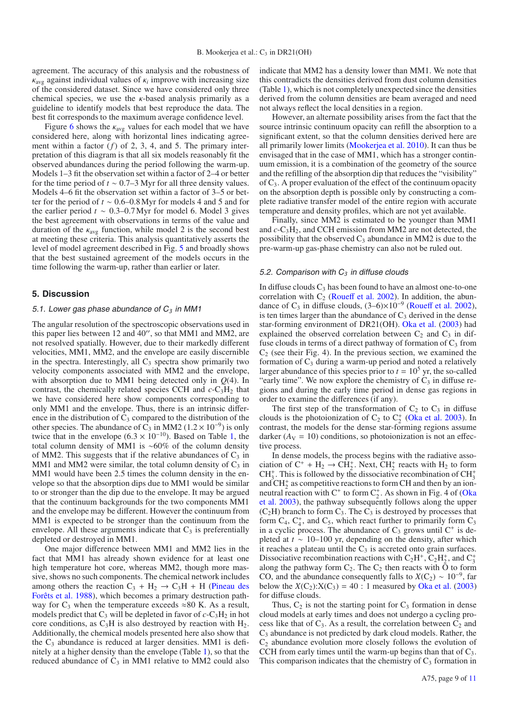agreement. The accuracy of this analysis and the robustness of  $\kappa_{\text{avg}}$  against individual values of  $\kappa_i$  improve with increasing size of the considered dataset. Since we have considered only three chemical species, we use the  $\kappa$ -based analysis primarily as a guideline to identify models that best reproduce the data. The best fit corresponds to the maximum average confidence level.

Figure [6](#page-7-2) shows the  $\kappa_{avg}$  values for each model that we have considered here, along with horizontal lines indicating agreement within a factor (*f*) of 2, 3, 4, and 5. The primary interpretation of this diagram is that all six models reasonably fit the observed abundances during the period following the warm-up. Models 1–3 fit the observation set within a factor of 2–4 or better for the time period of  $t \sim 0.7-3$  Myr for all three density values. Models 4–6 fit the observation set within a factor of 3–5 or better for the period of *t* ∼ 0.6–0.8 Myr for models 4 and 5 and for the earlier period  $t \sim 0.3 - 0.7$  Myr for model 6. Model 3 gives the best agreement with observations in terms of the value and duration of the  $\kappa_{\text{avg}}$  function, while model 2 is the second best at meeting these criteria. This analysis quantitatively asserts the level of model agreement described in Fig. [5](#page-7-0) and broadly shows that the best sustained agreement of the models occurs in the time following the warm-up, rather than earlier or later.

## **5. Discussion**

#### 5.1. Lower gas phase abundance of C*<sup>3</sup>* in MM1

The angular resolution of the spectroscopic observations used in this paper lies between  $12$  and  $40''$ , so that MM1 and MM2, are not resolved spatially. However, due to their markedly different velocities, MM1, MM2, and the envelope are easily discernible in the spectra. Interestingly, all  $C_3$  spectra show primarily two velocity components associated with MM2 and the envelope, with absorption due to MM1 being detected only in *Q*(4). In contrast, the chemically related species CCH and  $c$ -C<sub>3</sub>H<sub>2</sub> that we have considered here show components corresponding to only MM1 and the envelope. Thus, there is an intrinsic difference in the distribution of  $C_3$  compared to the distribution of the other species. The abundance of C<sub>3</sub> in MM2 ( $1.2 \times 10^{-9}$ ) is only twice that in the envelope  $(6.3 \times 10^{-10})$ . Based on Table [1,](#page-1-0) the total column density of MM1 is ∼60% of the column density of MM2. This suggests that if the relative abundances of  $C_3$  in MM1 and MM2 were similar, the total column density of  $C_3$  in MM1 would have been 2.5 times the column density in the envelope so that the absorption dips due to MM1 would be similar to or stronger than the dip due to the envelope. It may be argued that the continuum backgrounds for the two components MM1 and the envelope may be different. However the continuum from MM1 is expected to be stronger than the continuum from the envelope. All these arguments indicate that  $C_3$  is preferentially depleted or destroyed in MM1.

One major difference between MM1 and MM2 lies in the fact that MM1 has already shown evidence for at least one high temperature hot core, whereas MM2, though more massive, shows no such components. The chemical network includes among others the reaction  $C_3$  + H<sub>2</sub>  $\rightarrow$  C<sub>3</sub>H + H (Pineau des Forêts et al. [1988\)](#page-10-36), which becomes a primary destruction pathway for  $C_3$  when the temperature exceeds  $\approx 80$  K. As a result, models predict that  $C_3$  will be depleted in favor of  $c$ - $C_3H_2$  in hot core conditions, as  $C_3H$  is also destroyed by reaction with  $H_2$ . Additionally, the chemical models presented here also show that the  $C_3$  abundance is reduced at larger densities. MM1 is definitely at a higher density than the envelope (Table [1\)](#page-1-0), so that the reduced abundance of  $C_3$  in MM1 relative to MM2 could also indicate that MM2 has a density lower than MM1. We note that this contradicts the densities derived from dust column densities (Table [1\)](#page-1-0), which is not completely unexpected since the densities derived from the column densities are beam averaged and need not always reflect the local densities in a region.

However, an alternate possibility arises from the fact that the source intrinsic continuum opacity can refill the absorption to a significant extent, so that the column densities derived here are all primarily lower limits [\(Mookerjea et al. 2010\)](#page-10-20). It can thus be envisaged that in the case of MM1, which has a stronger continuum emission, it is a combination of the geometry of the source and the refilling of the absorption dip that reduces the "visibility" of C3. A proper evaluation of the effect of the continuum opacity on the absorption depth is possible only by constructing a complete radiative transfer model of the entire region with accurate temperature and density profiles, which are not yet available.

Finally, since MM2 is estimated to be younger than MM1 and *c*-C3H2, and CCH emission from MM2 are not detected, the possibility that the observed  $C_3$  abundance in MM2 is due to the pre-warm-up gas-phase chemistry can also not be ruled out.

#### 5.2. Comparison with C*<sup>3</sup>* in diffuse clouds

In diffuse clouds  $C_3$  has been found to have an almost one-to-one correlation with  $C_2$  [\(Roue](#page-10-12)ff et al. [2002\)](#page-10-12). In addition, the abundance of C<sub>3</sub> in diffuse clouds,  $(3-6)\times10^{-9}$  [\(Roue](#page-10-12)ff et al. [2002\)](#page-10-12), is ten times larger than the abundance of  $C_3$  derived in the dense star-forming environment of DR21(OH). [Oka et al.](#page-10-13) [\(2003\)](#page-10-13) had explained the observed correlation between  $C_2$  and  $C_3$  in diffuse clouds in terms of a direct pathway of formation of  $C_3$  from  $C_2$  (see their Fig. 4). In the previous section, we examined the formation of  $C_3$  during a warm-up period and noted a relatively larger abundance of this species prior to  $t = 10^5$  yr, the so-called "early time". We now explore the chemistry of  $C_3$  in diffuse regions and during the early time period in dense gas regions in order to examine the differences (if any).

The first step of the transformation of  $C_2$  to  $C_3$  in diffuse clouds is the photoionization of  $C_2$  to  $C_2^+$  [\(Oka et al. 2003](#page-10-13)). In contrast, the models for the dense star-forming regions assume darker  $(A<sub>V</sub> = 10)$  conditions, so photoionization is not an effective process.

In dense models, the process begins with the radiative association of  $C^+ + H_2 \rightarrow CH_2^+$ . Next,  $CH_2^+$  reacts with  $H_2$  to form CH<sub>3</sub><sup>+</sup>. This is followed by the dissociative recombination of CH<sub>3</sub><sup>+</sup> and  $CH<sub>2</sub><sup>+</sup>$  as competitive reactions to form CH and then by an ionneutral reaction with  $C^+$  to form  $C_2^+$ [. As shown in Fig. 4 of \(](#page-10-13)Oka et al. [2003\)](#page-10-13), the pathway subsequently follows along the upper  $(C_2H)$  branch to form  $C_3$ . The  $C_3$  is destroyed by processes that form  $C_4$ ,  $C_4^+$ , and  $C_5$ , which react further to primarily form  $C_3$ in a cyclic process. The abundance of  $C_3$  grows until  $C^+$  is depleted at *t* ∼ 10–100 yr, depending on the density, after which it reaches a plateau until the  $C_3$  is accreted onto grain surfaces. Dissociative recombination reactions with  $C_2H^+$ ,  $C_2H_2^+$ , and  $C_3^+$ along the pathway form  $C_2$ . The  $C_2$  then reacts with  $\bar{O}$  to form CO, and the abundance consequently falls to  $X(C_2) \sim 10^{-9}$ , far below the  $X(C_2): X(C_3) = 40$ : 1 measured by [Oka et al.](#page-10-13) [\(2003](#page-10-13)) for diffuse clouds.

Thus,  $C_2$  is not the starting point for  $C_3$  formation in dense cloud models at early times and does not undergo a cycling process like that of  $C_3$ . As a result, the correlation between  $C_2$  and C3 abundance is not predicted by dark cloud models. Rather, the  $C_2$  abundance evolution more closely follows the evolution of CCH from early times until the warm-up begins than that of  $C_3$ . This comparison indicates that the chemistry of  $C_3$  formation in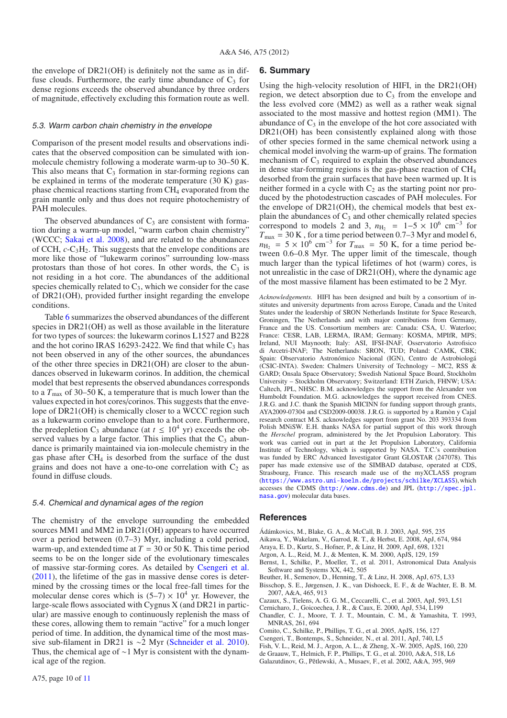the envelope of DR21(OH) is definitely not the same as in diffuse clouds. Furthermore, the early time abundance of  $C_3$  for dense regions exceeds the observed abundance by three orders of magnitude, effectively excluding this formation route as well.

#### 5.3. Warm carbon chain chemistry in the envelope

Comparison of the present model results and observations indicates that the observed composition can be simulated with ionmolecule chemistry following a moderate warm-up to 30–50 K. This also means that  $C_3$  formation in star-forming regions can be explained in terms of the moderate temperature (30 K) gasphase chemical reactions starting from CH4 evaporated from the grain mantle only and thus does not require photochemistry of PAH molecules.

The observed abundances of  $C_3$  are consistent with formation during a warm-up model, "warm carbon chain chemistry" (WCCC; [Sakai et al. 2008](#page-10-37)), and are related to the abundances of CCH,  $c$ -C<sub>3</sub>H<sub>2</sub>. This suggests that the envelope conditions are more like those of "lukewarm corinos" surrounding low-mass protostars than those of hot cores. In other words, the  $C_3$  is not residing in a hot core. The abundances of the additional species chemically related to  $C_3$ , which we consider for the case of DR21(OH), provided further insight regarding the envelope conditions.

Table [6](#page-5-2) summarizes the observed abundances of the different species in DR21(OH) as well as those available in the literature for two types of sources: the lukewarm corinos L1527 and B228 and the hot corino IRAS 16293-2422. We find that while  $C_3$  has not been observed in any of the other sources, the abundances of the other three species in DR21(OH) are closer to the abundances observed in lukewarm corinos. In addition, the chemical model that best represents the observed abundances corresponds to a *T*max of 30–50 K, a temperature that is much lower than the values expected in hot cores/corinos. This suggests that the envelope of DR21(OH) is chemically closer to a WCCC region such as a lukewarm corino envelope than to a hot core. Furthermore, the predepletion C<sub>3</sub> abundance (at  $t \leq 10^4$  yr) exceeds the observed values by a large factor. This implies that the  $C_3$  abundance is primarily maintained via ion-molecule chemistry in the gas phase after  $CH_4$  is desorbed from the surface of the dust grains and does not have a one-to-one correlation with  $C_2$  as found in diffuse clouds.

#### 5.4. Chemical and dynamical ages of the region

The chemistry of the envelope surrounding the embedded sources MM1 and MM2 in DR21(OH) appears to have occurred over a period between (0.7–3) Myr, including a cold period, warm-up, and extended time at  $T = 30$  or 50 K. This time period seems to be on the longer side of the evolutionary timescales of massive star-forming cores. As detailed by [Csengeri et al.](#page-9-8) [\(2011](#page-9-8)), the lifetime of the gas in massive dense cores is determined by the crossing times or the local free-fall times for the molecular dense cores which is  $(5-7) \times 10^4$  yr. However, the large-scale flows associated with Cygnus X (and DR21 in particular) are massive enough to continuously replenish the mass of these cores, allowing them to remain "active" for a much longer period of time. In addition, the dynamical time of the most massive sub-filament in DR21 is ∼2 Myr [\(Schneider et al. 2010\)](#page-10-21). Thus, the chemical age of ∼1 Myr is consistent with the dynamical age of the region.

## **6. Summary**

Using the high-velocity resolution of HIFI, in the DR21(OH) region, we detect absorption due to  $C_3$  from the envelope and the less evolved core (MM2) as well as a rather weak signal associated to the most massive and hottest region (MM1). The abundance of  $C_3$  in the envelope of the hot core associated with DR21(OH) has been consistently explained along with those of other species formed in the same chemical network using a chemical model involving the warm-up of grains. The formation mechanism of  $C_3$  required to explain the observed abundances in dense star-forming regions is the gas-phase reaction of  $CH<sub>4</sub>$ desorbed from the grain surfaces that have been warmed up. It is neither formed in a cycle with  $C_2$  as the starting point nor produced by the photodestruction cascades of PAH molecules. For the envelope of DR21(OH), the chemical models that best explain the abundances of  $C_3$  and other chemically related species correspond to models 2 and 3,  $n_{\text{H}_2}$  = 1−5 × 10<sup>6</sup> cm<sup>-3</sup> for  $T_{\text{max}} = 30$  K, for a time period between 0.7–3 Myr and model 6,  $n_{\text{H}_2}$  = 5 × 10<sup>6</sup> cm<sup>-3</sup> for  $T_{\text{max}}$  = 50 K, for a time period between 0.6–0.8 Myr. The upper limit of the timescale, though much larger than the typical lifetimes of hot (warm) cores, is not unrealistic in the case of DR21(OH), where the dynamic age of the most massive filament has been estimated to be 2 Myr.

*Acknowledgements.* HIFI has been designed and built by a consortium of institutes and university departments from across Europe, Canada and the United States under the leadership of SRON Netherlands Institute for Space Research, Groningen, The Netherlands and with major contributions from Germany, France and the US. Consortium members are: Canada: CSA, U. Waterloo; France: CESR, LAB, LERMA, IRAM; Germany: KOSMA, MPIfR, MPS; Ireland, NUI Maynooth; Italy: ASI, IFSI-INAF, Osservatorio Astrofisico di Arcetri-INAF; The Netherlands: SRON, TUD; Poland: CAMK, CBK; Spain: Observatorio Astronómico Nacional (IGN), Centro de Astrobiologá (CSIC-INTA). Sweden: Chalmers University of Technology – MC2, RSS & GARD; Onsala Space Observatory; Swedish National Space Board, Stockholm University – Stockholm Observatory; Switzerland: ETH Zurich, FHNW; USA: Caltech, JPL, NHSC. B.M. acknowledges the support from the Alexander von Humboldt Foundation. M.G. acknowledges the support received from CNES. J.R.G. and J.C. thank the Spanish MICINN for funding support through grants, AYA2009-07304 and CSD2009-00038. J.R.G. is supported by a Ramòn y Cajal research contract M.S. acknowledges support from grant No. 203 393334 from Polish MNiSW. E.H. thanks NASA for partial support of this work through the *Herschel* program, administered by the Jet Propulsion Laboratory. This work was carried out in part at the Jet Propulsion Laboratory, California Institute of Technology, which is supported by NASA. T.C.'s contribution was funded by ERC Advanced Investigator Grant GLOSTAR (247078). This paper has made extensive use of the SIMBAD database, operated at CDS, Strasbourg, France. This research made use of the myXCLASS program (<https://www.astro.uni-koeln.de/projects/schilke/XCLASS>),which accesses the CDMS (<http://www.cdms.de>) and JPL ([http://spec.jpl.](http://spec.jpl.nasa.gov) [nasa.gov](http://spec.jpl.nasa.gov)) molecular data bases.

#### **References**

- Ádámkovics, M., Blake, G. A., & McCall, B. J. 2003, ApJ, 595, 235
- <span id="page-9-13"></span><span id="page-9-0"></span>Aikawa, Y., Wakelam, V., Garrod, R. T., & Herbst, E. 2008, ApJ, 674, 984
- <span id="page-9-5"></span>Araya, E. D., Kurtz, S., Hofner, P., & Linz, H. 2009, ApJ, 698, 1321
- <span id="page-9-4"></span>Argon, A. L., Reid, M. J., & Menten, K. M. 2000, ApJS, 129, 159
- <span id="page-9-10"></span>Bernst, I., Schilke, P., Moeller, T., et al. 2011, Astronomical Data Analysis Software and Systems XX, 442, 505
- Beuther, H., Semenov, D., Henning, T., & Linz, H. 2008, ApJ, 675, L33
- <span id="page-9-12"></span>Bisschop, S. E., Jørgensen, J. K., van Dishoeck, E. F., & de Wachter, E. B. M. 2007, A&A, 465, 913
- <span id="page-9-11"></span>Cazaux, S., Tielens, A. G. G. M., Ceccarelli, C., et al. 2003, ApJ, 593, L51
- <span id="page-9-1"></span>Cernicharo, J., Goicoechea, J. R., & Caux, E. 2000, ApJ, 534, L199
- <span id="page-9-3"></span>Chandler, C. J., Moore, T. J. T., Mountain, C. M., & Yamashita, T. 1993, MNRAS, 261, 694
- <span id="page-9-9"></span>Comito, C., Schilke, P., Phillips, T. G., et al. 2005, ApJS, 156, 127
- <span id="page-9-8"></span>Csengeri, T., Bontemps, S., Schneider, N., et al. 2011, ApJ, 740, L5
- <span id="page-9-6"></span>Fish, V. L., Reid, M. J., Argon, A. L., & Zheng, X.-W. 2005, ApJS, 160, 220
- <span id="page-9-7"></span>de Graauw, T., Helmich, F. P., Phillips, T. G., et al. 2010, A&A, 518, L6
- <span id="page-9-2"></span>Galazutdinov, G., Pětlewski, A., Musaev, F., et al. 2002, A&A, 395, 969